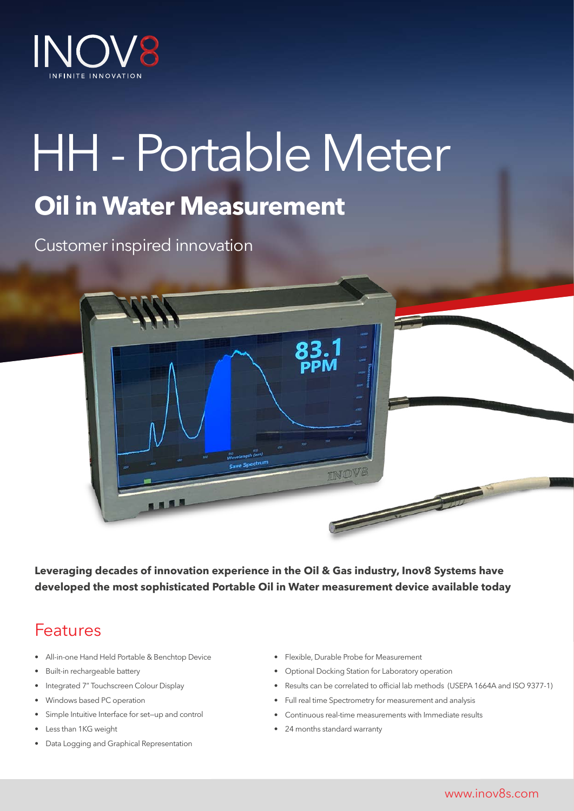

# HH - Portable Meter **Oil in Water Measurement**

Customer inspired innovation

**Leveraging decades of innovation experience in the Oil & Gas industry, Inov8 Systems have developed the most sophisticated Portable Oil in Water measurement device available today**

### Features

- All-in-one Hand Held Portable & Benchtop Device
- Built-in rechargeable battery
- Integrated 7" Touchscreen Colour Display
- Windows based PC operation
- Simple Intuitive Interface for set—up and control
- Less than 1KG weight
- Data Logging and Graphical Representation

• Flexible, Durable Probe for Measurement

INOV

- Optional Docking Station for Laboratory operation
- Results can be correlated to official lab methods (USEPA 1664A and ISO 9377-1)

**CONTRACTOR** 

- Full real time Spectrometry for measurement and analysis
- Continuous real-time measurements with Immediate results
- 24 months standard warranty